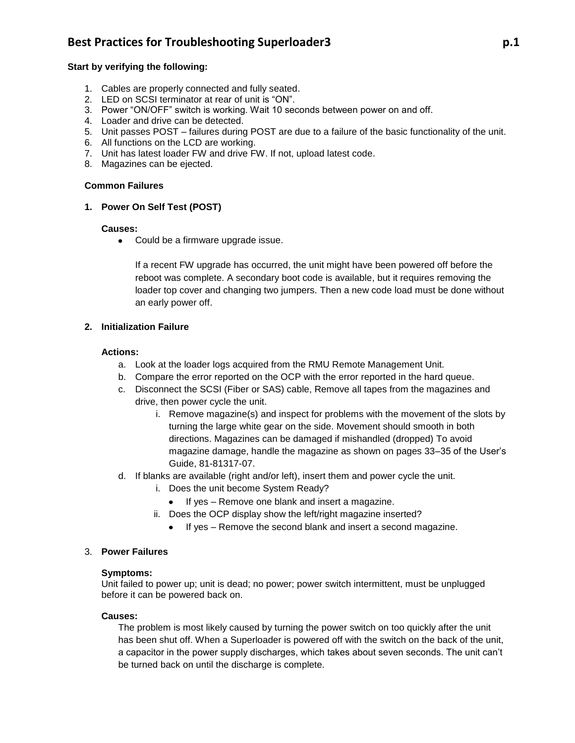# **Best Practices for Troubleshooting Superloader3 p.1**

### **Start by verifying the following:**

- 1. Cables are properly connected and fully seated.
- 2. LED on SCSI terminator at rear of unit is "ON".
- 3. Power "ON/OFF" switch is working. Wait 10 seconds between power on and off.
- 4. Loader and drive can be detected.
- 5. Unit passes POST failures during POST are due to a failure of the basic functionality of the unit.
- 6. All functions on the LCD are working.
- 7. Unit has latest loader FW and drive FW. If not, upload latest code.
- 8. Magazines can be ejected.

#### **Common Failures**

# **1. Power On Self Test (POST)**

#### **Causes:**

• Could be a firmware upgrade issue.

If a recent FW upgrade has occurred, the unit might have been powered off before the reboot was complete. A secondary boot code is available, but it requires removing the loader top cover and changing two jumpers. Then a new code load must be done without an early power off.

# **2. Initialization Failure**

#### **Actions:**

- a. Look at the loader logs acquired from the RMU Remote Management Unit.
- b. Compare the error reported on the OCP with the error reported in the hard queue.
- c. Disconnect the SCSI (Fiber or SAS) cable, Remove all tapes from the magazines and drive, then power cycle the unit.
	- i. Remove magazine(s) and inspect for problems with the movement of the slots by turning the large white gear on the side. Movement should smooth in both directions. Magazines can be damaged if mishandled (dropped) To avoid magazine damage, handle the magazine as shown on pages 33–35 of the User's Guide, 81-81317-07.
- d. If blanks are available (right and/or left), insert them and power cycle the unit.
	- i. Does the unit become System Ready?
		- If yes Remove one blank and insert a magazine.
	- ii. Does the OCP display show the left/right magazine inserted?
		- If yes Remove the second blank and insert a second magazine.

#### 3. **Power Failures**

#### **Symptoms:**

Unit failed to power up; unit is dead; no power; power switch intermittent, must be unplugged before it can be powered back on.

#### **Causes:**

The problem is most likely caused by turning the power switch on too quickly after the unit has been shut off. When a Superloader is powered off with the switch on the back of the unit, a capacitor in the power supply discharges, which takes about seven seconds. The unit can't be turned back on until the discharge is complete.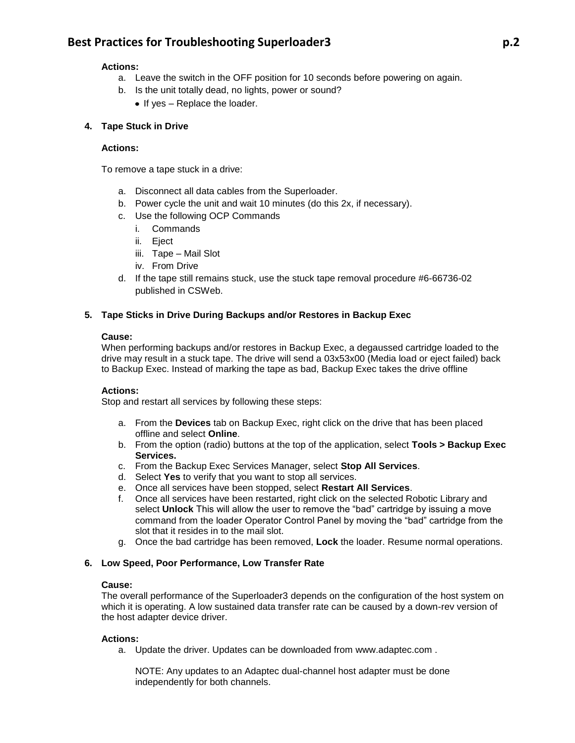# **Best Practices for Troubleshooting Superloader3 p.2**

#### **Actions:**

- a. Leave the switch in the OFF position for 10 seconds before powering on again.
- b. Is the unit totally dead, no lights, power or sound?
	- $\bullet$  If yes Replace the loader.

# **4. Tape Stuck in Drive**

#### **Actions:**

To remove a tape stuck in a drive:

- a. Disconnect all data cables from the Superloader.
- b. Power cycle the unit and wait 10 minutes (do this 2x, if necessary).
- c. Use the following OCP Commands
	- i. Commands
	- ii. Eject
	- iii. Tape Mail Slot
	- iv. From Drive
- d. If the tape still remains stuck, use the stuck tape removal procedure #6-66736-02 published in CSWeb.

#### **5. Tape Sticks in Drive During Backups and/or Restores in Backup Exec**

#### **Cause:**

When performing backups and/or restores in Backup Exec, a degaussed cartridge loaded to the drive may result in a stuck tape. The drive will send a 03x53x00 (Media load or eject failed) back to Backup Exec. Instead of marking the tape as bad, Backup Exec takes the drive offline

#### **Actions:**

Stop and restart all services by following these steps:

- a. From the **Devices** tab on Backup Exec, right click on the drive that has been placed offline and select **Online**.
- b. From the option (radio) buttons at the top of the application, select **Tools > Backup Exec Services.**
- c. From the Backup Exec Services Manager, select **Stop All Services**.
- d. Select **Yes** to verify that you want to stop all services.
- e. Once all services have been stopped, select **Restart All Services**.
- f. Once all services have been restarted, right click on the selected Robotic Library and select **Unlock** This will allow the user to remove the "bad" cartridge by issuing a move command from the loader Operator Control Panel by moving the "bad" cartridge from the slot that it resides in to the mail slot.
- g. Once the bad cartridge has been removed, **Lock** the loader. Resume normal operations.

#### **6. Low Speed, Poor Performance, Low Transfer Rate**

#### **Cause:**

The overall performance of the Superloader3 depends on the configuration of the host system on which it is operating. A low sustained data transfer rate can be caused by a down-rev version of the host adapter device driver.

#### **Actions:**

a. Update the driver. Updates can be downloaded from [www.adaptec.com](http://www.adaptec.com/) .

NOTE: Any updates to an Adaptec dual-channel host adapter must be done independently for both channels.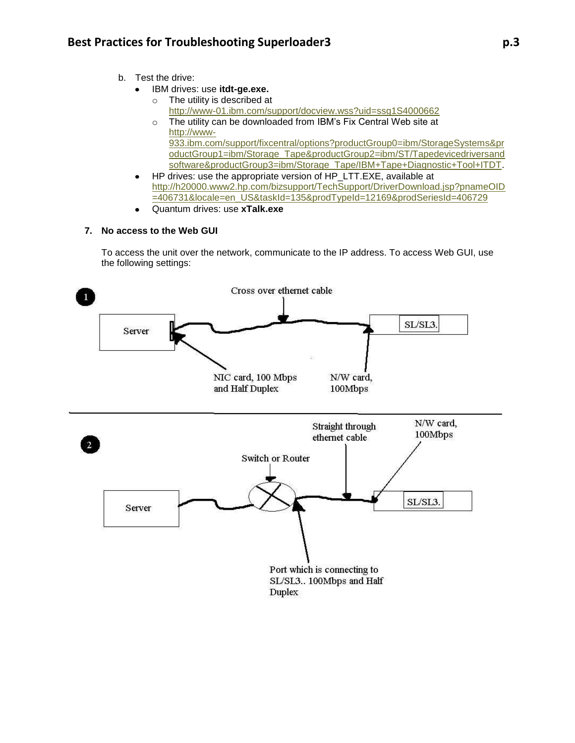- b. Test the drive:
	- IBM drives: use **itdt-ge.exe.**   $\bullet$ 
		- o The utility is described at <http://www-01.ibm.com/support/docview.wss?uid=ssg1S4000662>
		- o The utility can be downloaded from IBM's Fix Central Web site at [http://www-](http://www-933.ibm.com/support/fixcentral/options?productGroup0=ibm/StorageSystems&productGroup1=ibm/Storage_Tape&productGroup2=ibm/ST/Tapedevicedriversandsoftware&productGroup3=ibm/Storage_Tape/IBM+Tape+Diagnostic+Tool+ITDT)[933.ibm.com/support/fixcentral/options?productGroup0=ibm/StorageSystems&pr](http://www-933.ibm.com/support/fixcentral/options?productGroup0=ibm/StorageSystems&productGroup1=ibm/Storage_Tape&productGroup2=ibm/ST/Tapedevicedriversandsoftware&productGroup3=ibm/Storage_Tape/IBM+Tape+Diagnostic+Tool+ITDT) [oductGroup1=ibm/Storage\\_Tape&productGroup2=ibm/ST/Tapedevicedriversand](http://www-933.ibm.com/support/fixcentral/options?productGroup0=ibm/StorageSystems&productGroup1=ibm/Storage_Tape&productGroup2=ibm/ST/Tapedevicedriversandsoftware&productGroup3=ibm/Storage_Tape/IBM+Tape+Diagnostic+Tool+ITDT) [software&productGroup3=ibm/Storage\\_Tape/IBM+Tape+Diagnostic+Tool+ITDT.](http://www-933.ibm.com/support/fixcentral/options?productGroup0=ibm/StorageSystems&productGroup1=ibm/Storage_Tape&productGroup2=ibm/ST/Tapedevicedriversandsoftware&productGroup3=ibm/Storage_Tape/IBM+Tape+Diagnostic+Tool+ITDT)
	- HP drives: use the appropriate version of HP\_LTT.EXE, available at  $\bullet$ [http://h20000.www2.hp.com/bizsupport/TechSupport/DriverDownload.jsp?pnameOID](http://h20000.www2.hp.com/bizsupport/TechSupport/DriverDownload.jsp?pnameOID=406731&locale=en_US&taskId=135&prodTypeId=12169&prodSeriesId=406729) [=406731&locale=en\\_US&taskId=135&prodTypeId=12169&prodSeriesId=406729](http://h20000.www2.hp.com/bizsupport/TechSupport/DriverDownload.jsp?pnameOID=406731&locale=en_US&taskId=135&prodTypeId=12169&prodSeriesId=406729)
	- Quantum drives: use **xTalk.exe**

# **7. No access to the Web GUI**

To access the unit over the network, communicate to the IP address. To access Web GUI, use the following settings:

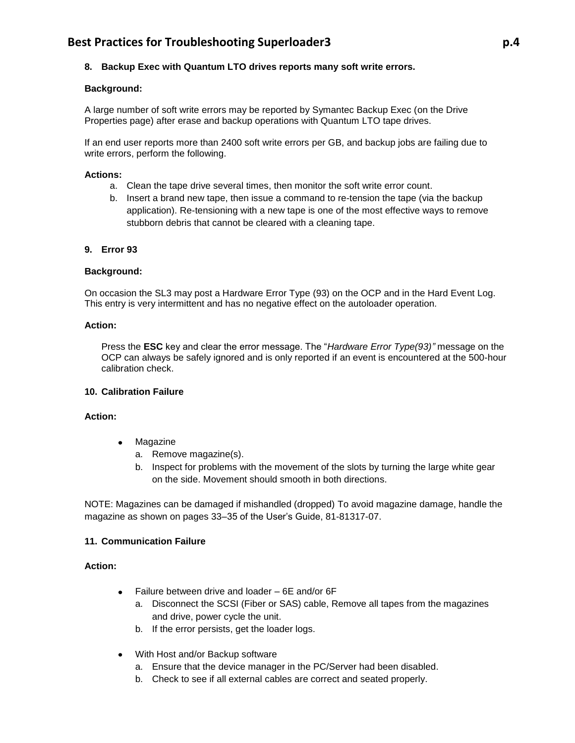# **8. Backup Exec with Quantum LTO drives reports many soft write errors.**

# **Background:**

A large number of soft write errors may be reported by Symantec Backup Exec (on the Drive Properties page) after erase and backup operations with Quantum LTO tape drives.

If an end user reports more than 2400 soft write errors per GB, and backup jobs are failing due to write errors, perform the following.

#### **Actions:**

- a. Clean the tape drive several times, then monitor the soft write error count.
- b. Insert a brand new tape, then issue a command to re-tension the tape (via the backup application). Re-tensioning with a new tape is one of the most effective ways to remove stubborn debris that cannot be cleared with a cleaning tape.

#### **9. Error 93**

#### **Background:**

On occasion the SL3 may post a Hardware Error Type (93) on the OCP and in the Hard Event Log. This entry is very intermittent and has no negative effect on the autoloader operation.

#### **Action:**

Press the **ESC** key and clear the error message. The "*Hardware Error Type(93)"* message on the OCP can always be safely ignored and is only reported if an event is encountered at the 500-hour calibration check.

#### **10. Calibration Failure**

# **Action:**

- Magazine  $\bullet$ 
	- a. Remove magazine(s).
	- b. Inspect for problems with the movement of the slots by turning the large white gear on the side. Movement should smooth in both directions.

NOTE: Magazines can be damaged if mishandled (dropped) To avoid magazine damage, handle the magazine as shown on pages 33–35 of the User's Guide, 81-81317-07.

# **11. Communication Failure**

#### **Action:**

- Failure between drive and loader 6E and/or 6F
	- a. Disconnect the SCSI (Fiber or SAS) cable, Remove all tapes from the magazines and drive, power cycle the unit.
	- b. If the error persists, get the loader logs.
- With Host and/or Backup software
	- a. Ensure that the device manager in the PC/Server had been disabled.
	- b. Check to see if all external cables are correct and seated properly.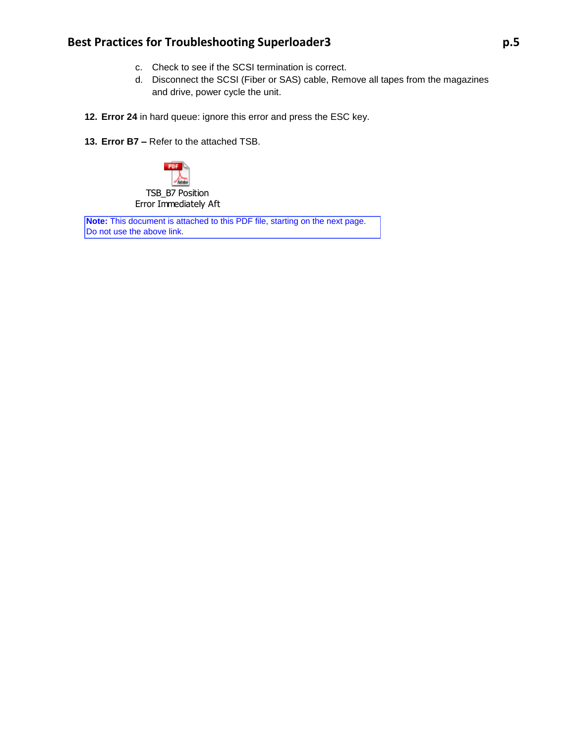# **Best Practices for Troubleshooting Superloader3 p.5**

- c. Check to see if the SCSI termination is correct.
- d. Disconnect the SCSI (Fiber or SAS) cable, Remove all tapes from the magazines and drive, power cycle the unit.
- **12. Error 24** in hard queue: ignore this error and press the ESC key.
- **13. Error B7 –** Refer to the attached TSB.



**Note:** This document is attached to this PDF file, starting on the next page. Do not use the above link.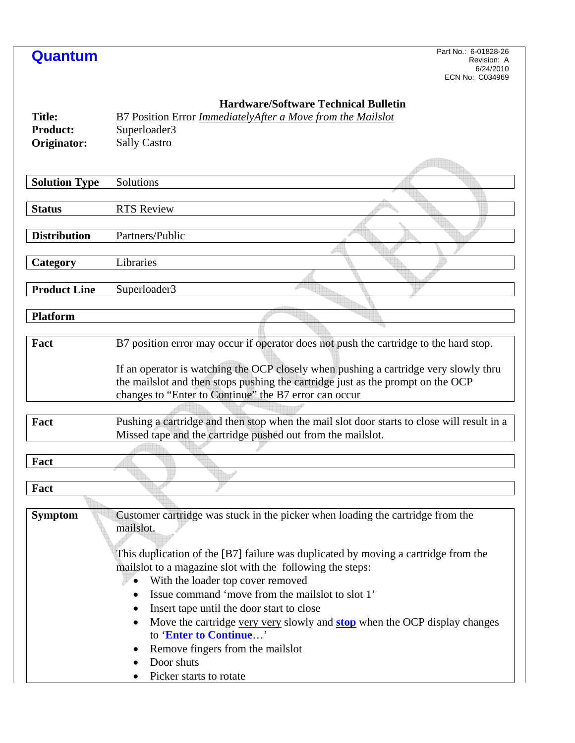| Quantum                                         | Part No.: 6-01828-26<br>Revision: A<br>6/24/2010<br>ECN No: C034969                                                                                                                                                                                                                                                                                                                                                                                                                                                                                                                           |
|-------------------------------------------------|-----------------------------------------------------------------------------------------------------------------------------------------------------------------------------------------------------------------------------------------------------------------------------------------------------------------------------------------------------------------------------------------------------------------------------------------------------------------------------------------------------------------------------------------------------------------------------------------------|
| <b>Title:</b><br><b>Product:</b><br>Originator: | <b>Hardware/Software Technical Bulletin</b><br>B7 Position Error <i>ImmediatelyAfter a Move from the Mailslot</i><br>Superloader3<br><b>Sally Castro</b>                                                                                                                                                                                                                                                                                                                                                                                                                                      |
| <b>Solution Type</b>                            | Solutions                                                                                                                                                                                                                                                                                                                                                                                                                                                                                                                                                                                     |
|                                                 |                                                                                                                                                                                                                                                                                                                                                                                                                                                                                                                                                                                               |
| <b>Status</b>                                   | <b>RTS Review</b>                                                                                                                                                                                                                                                                                                                                                                                                                                                                                                                                                                             |
| <b>Distribution</b>                             | Partners/Public                                                                                                                                                                                                                                                                                                                                                                                                                                                                                                                                                                               |
| Category                                        | Libraries                                                                                                                                                                                                                                                                                                                                                                                                                                                                                                                                                                                     |
| <b>Product Line</b>                             |                                                                                                                                                                                                                                                                                                                                                                                                                                                                                                                                                                                               |
|                                                 | Superloader3                                                                                                                                                                                                                                                                                                                                                                                                                                                                                                                                                                                  |
| <b>Platform</b>                                 |                                                                                                                                                                                                                                                                                                                                                                                                                                                                                                                                                                                               |
| Fact                                            | B7 position error may occur if operator does not push the cartridge to the hard stop.                                                                                                                                                                                                                                                                                                                                                                                                                                                                                                         |
|                                                 | If an operator is watching the OCP closely when pushing a cartridge very slowly thru<br>the mailslot and then stops pushing the cartridge just as the prompt on the OCP<br>changes to "Enter to Continue" the B7 error can occur                                                                                                                                                                                                                                                                                                                                                              |
| Fact                                            | Pushing a cartridge and then stop when the mail slot door starts to close will result in a<br>Missed tape and the cartridge pushed out from the mailslot.                                                                                                                                                                                                                                                                                                                                                                                                                                     |
| $\mathbf{r}$<br>Fact                            |                                                                                                                                                                                                                                                                                                                                                                                                                                                                                                                                                                                               |
| Fact                                            |                                                                                                                                                                                                                                                                                                                                                                                                                                                                                                                                                                                               |
| <b>Symptom</b>                                  | Customer cartridge was stuck in the picker when loading the cartridge from the<br>mailslot.<br>This duplication of the [B7] failure was duplicated by moving a cartridge from the<br>mails lot to a magazine slot with the following the steps:<br>With the loader top cover removed<br>Issue command 'move from the mails ot to slot 1'<br>Insert tape until the door start to close<br>$\bullet$<br>Move the cartridge very very slowly and <b>stop</b> when the OCP display changes<br>to 'Enter to Continue'<br>Remove fingers from the mails ot<br>Door shuts<br>Picker starts to rotate |